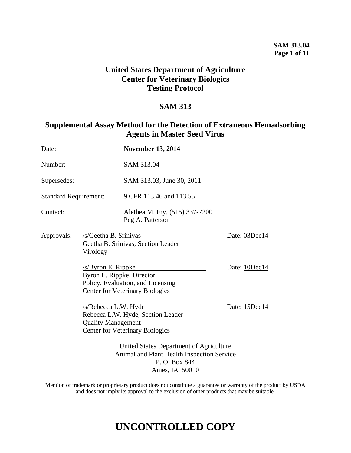## **United States Department of Agriculture Center for Veterinary Biologics Testing Protocol**

### **SAM 313**

## **Supplemental Assay Method for the Detection of Extraneous Hemadsorbing Agents in Master Seed Virus**

| Date:                        |                                                                                                                         | <b>November 13, 2014</b>                                                    |               |
|------------------------------|-------------------------------------------------------------------------------------------------------------------------|-----------------------------------------------------------------------------|---------------|
| Number:                      |                                                                                                                         | SAM 313.04                                                                  |               |
| Supersedes:                  |                                                                                                                         | SAM 313.03, June 30, 2011                                                   |               |
| <b>Standard Requirement:</b> |                                                                                                                         | 9 CFR 113.46 and 113.55                                                     |               |
| Contact:                     |                                                                                                                         | Alethea M. Fry, (515) 337-7200<br>Peg A. Patterson                          |               |
| Approvals:                   | /s/Geetha B. Srinivas<br>Geetha B. Srinivas, Section Leader<br>Virology                                                 |                                                                             | Date: 03Dec14 |
|                              | /s/Byron E. Rippke<br>Byron E. Rippke, Director                                                                         | Policy, Evaluation, and Licensing<br><b>Center for Veterinary Biologics</b> | Date: 10Dec14 |
|                              | <u>/s/Rebecca L.W. Hyde</u><br><b>Quality Management</b>                                                                | Rebecca L.W. Hyde, Section Leader<br><b>Center for Veterinary Biologics</b> | Date: 15Dec14 |
|                              | United States Department of Agriculture<br>Animal and Plant Health Inspection Service<br>P.O. Box 844<br>Ames, IA 50010 |                                                                             |               |

Mention of trademark or proprietary product does not constitute a guarantee or warranty of the product by USDA and does not imply its approval to the exclusion of other products that may be suitable.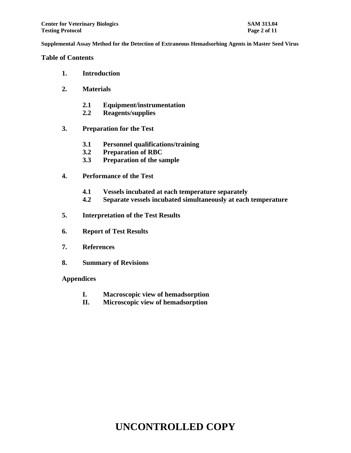**Table of Contents**

- **1. Introduction**
- **2. Materials**
	- **2.1 Equipment/instrumentation**
	- **2.2 Reagents/supplies**
- **3. Preparation for the Test**
	- **3.1 Personnel qualifications/training**
	- **3.2 Preparation of RBC**
	- **3.3 Preparation of the sample**
- **4. Performance of the Test**
	- **4.1 Vessels incubated at each temperature separately**
	- **4.2 Separate vessels incubated simultaneously at each temperature**
- **5. Interpretation of the Test Results**
- **6. Report of Test Results**
- **7. References**
- **8. Summary of Revisions**

#### **Appendices**

- **I. Macroscopic view of hemadsorption**
- **II. Microscopic view of hemadsorption**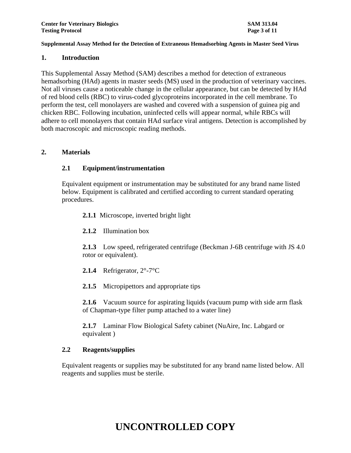#### **1. Introduction**

This Supplemental Assay Method (SAM) describes a method for detection of extraneous hemadsorbing (HAd) agents in master seeds (MS) used in the production of veterinary vaccines. Not all viruses cause a noticeable change in the cellular appearance, but can be detected by HAd of red blood cells (RBC) to virus-coded glycoproteins incorporated in the cell membrane. To perform the test, cell monolayers are washed and covered with a suspension of guinea pig and chicken RBC. Following incubation, uninfected cells will appear normal, while RBCs will adhere to cell monolayers that contain HAd surface viral antigens. Detection is accomplished by both macroscopic and microscopic reading methods.

### **2. Materials**

### **2.1 Equipment/instrumentation**

Equivalent equipment or instrumentation may be substituted for any brand name listed below. Equipment is calibrated and certified according to current standard operating procedures.

**2.1.1** Microscope, inverted bright light

**2.1.2** Illumination box

**2.1.3** Low speed, refrigerated centrifuge (Beckman J-6B centrifuge with JS 4.0 rotor or equivalent).

- **2.1.4** Refrigerator, 2°-7°C
- 2.1.5 Micropipettors and appropriate tips

**2.1.6** Vacuum source for aspirating liquids (vacuum pump with side arm flask of Chapman-type filter pump attached to a water line)

**2.1.7** Laminar Flow Biological Safety cabinet (NuAire, Inc. Labgard or equivalent )

### **2.2 Reagents/supplies**

Equivalent reagents or supplies may be substituted for any brand name listed below. All reagents and supplies must be sterile.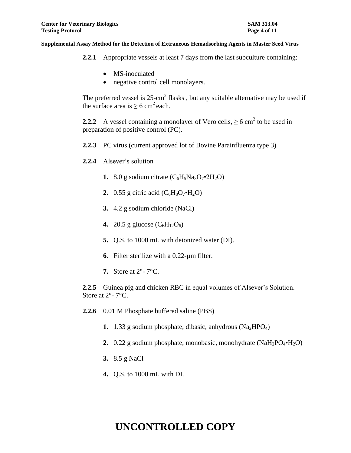- **2.2.1** Appropriate vessels at least 7 days from the last subculture containing:
	- MS-inoculated
	- negative control cell monolayers.

The preferred vessel is  $25$ -cm<sup>2</sup> flasks, but any suitable alternative may be used if the surface area is  $\geq 6$  cm<sup>2</sup> each.

**2.2.2** A vessel containing a monolayer of Vero cells,  $\geq 6$  cm<sup>2</sup> to be used in preparation of positive control (PC).

- **2.2.3** PC virus (current approved lot of Bovine Parainfluenza type 3)
- **2.2.4** Alsever's solution
	- **1.** 8.0 g sodium citrate  $(C_6H_5Na_3O_7 \cdot 2H_2O)$
	- **2.** 0.55 g citric acid  $(C_6H_8O_7 \cdot H_2O)$
	- **3.** 4.2 g sodium chloride (NaCl)
	- **4.** 20.5 g glucose  $(C_6H_{12}O_6)$
	- **5.** Q.S. to 1000 mL with deionized water (DI).
	- **6.** Filter sterilize with a 0.22-µm filter.
	- **7.** Store at 2°- 7°C.

**2.2.5** Guinea pig and chicken RBC in equal volumes of Alsever's Solution. Store at  $2^{\circ}$ - 7°C.

- **2.2.6** 0.01 M Phosphate buffered saline (PBS)
	- **1.** 1.33 g sodium phosphate, dibasic, anhydrous (Na<sub>2</sub>HPO<sub>4</sub>)
	- **2.** 0.22 g sodium phosphate, monobasic, monohydrate (NaH<sub>2</sub>PO<sub>4</sub>•H<sub>2</sub>O)
	- **3.** 8.5 g NaCl
	- **4.** Q.S. to 1000 mL with DI.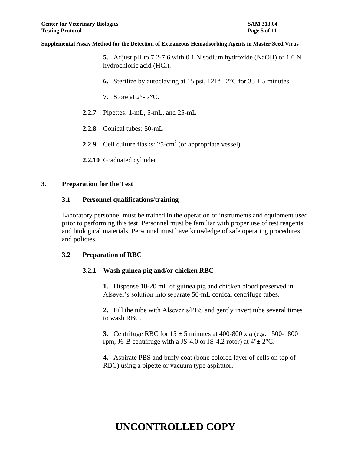**5.** Adjust pH to 7.2-7.6 with 0.1 N sodium hydroxide (NaOH) or 1.0 N hydrochloric acid (HCl).

- **6.** Sterilize by autoclaving at 15 psi,  $121^\circ \pm 2^\circ \text{C}$  for  $35 \pm 5$  minutes.
- **7.** Store at 2°- 7°C.
- **2.2.7** Pipettes: 1-mL, 5-mL, and 25-mL
- **2.2.8** Conical tubes: 50-mL
- 2.2.9 Cell culture flasks: 25-cm<sup>2</sup> (or appropriate vessel)
- **2.2.10** Graduated cylinder

### **3. Preparation for the Test**

### **3.1 Personnel qualifications/training**

Laboratory personnel must be trained in the operation of instruments and equipment used prior to performing this test. Personnel must be familiar with proper use of test reagents and biological materials. Personnel must have knowledge of safe operating procedures and policies.

### **3.2 Preparation of RBC**

### **3.2.1 Wash guinea pig and/or chicken RBC**

**1.** Dispense 10-20 mL of guinea pig and chicken blood preserved in Alsever's solution into separate 50-mL conical centrifuge tubes.

**2.** Fill the tube with Alsever's/PBS and gently invert tube several times to wash RBC.

**3.** Centrifuge RBC for  $15 \pm 5$  minutes at 400-800 x *g* (e.g. 1500-1800) rpm, J6-B centrifuge with a JS-4.0 or JS-4.2 rotor) at  $4^{\circ} \pm 2^{\circ}$ C.

**4.** Aspirate PBS and buffy coat (bone colored layer of cells on top of RBC) using a pipette or vacuum type aspirator**.**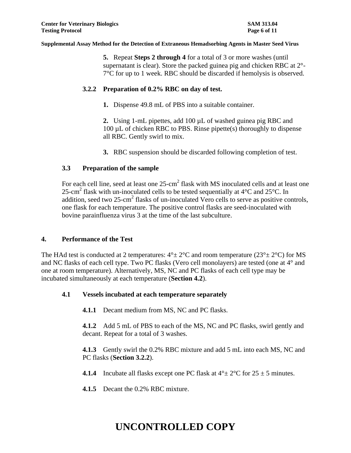**5.** Repeat **Steps 2 through 4** for a total of 3 or more washes (until supernatant is clear). Store the packed guinea pig and chicken RBC at 2°- 7°C for up to 1 week. RBC should be discarded if hemolysis is observed.

#### **3.2.2 Preparation of 0.2% RBC on day of test.**

**1.** Dispense 49.8 mL of PBS into a suitable container.

**2.** Using 1-mL pipettes, add 100 µL of washed guinea pig RBC and 100  $\mu$ L of chicken RBC to PBS. Rinse pipette(s) thoroughly to dispense all RBC. Gently swirl to mix.

**3.** RBC suspension should be discarded following completion of test.

#### **3.3 Preparation of the sample**

For each cell line, seed at least one  $25$ -cm<sup>2</sup> flask with MS inoculated cells and at least one 25-cm<sup>2</sup> flask with un-inoculated cells to be tested sequentially at  $4^{\circ}$ C and  $25^{\circ}$ C. In addition, seed two  $25$ -cm<sup>2</sup> flasks of un-inoculated Vero cells to serve as positive controls, one flask for each temperature. The positive control flasks are seed-inoculated with bovine parainfluenza virus 3 at the time of the last subculture.

#### **4. Performance of the Test**

The HAd test is conducted at 2 temperatures:  $4^{\circ}$  +  $2^{\circ}$ C and room temperature (23<sup>°</sup> +  $2^{\circ}$ C) for MS and NC flasks of each cell type. Two PC flasks (Vero cell monolayers) are tested (one at 4° and one at room temperature). Alternatively, MS, NC and PC flasks of each cell type may be incubated simultaneously at each temperature (**Section 4.2**).

### **4.1 Vessels incubated at each temperature separately**

**4.1.1** Decant medium from MS, NC and PC flasks.

**4.1.2** Add 5 mL of PBS to each of the MS, NC and PC flasks, swirl gently and decant. Repeat for a total of 3 washes.

**4.1.3** Gently swirl the 0.2% RBC mixture and add 5 mL into each MS, NC and PC flasks (**Section 3.2.2**).

**4.1.4** Incubate all flasks except one PC flask at  $4^\circ \pm 2^\circ$ C for  $25 \pm 5$  minutes.

**4.1.5** Decant the 0.2% RBC mixture.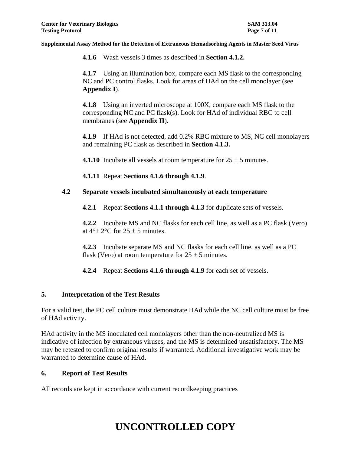**4.1.6** Wash vessels 3 times as described in **Section 4.1.2.**

**4.1.7** Using an illumination box, compare each MS flask to the corresponding NC and PC control flasks. Look for areas of HAd on the cell monolayer (see **Appendix I**).

**4.1.8** Using an inverted microscope at 100X, compare each MS flask to the corresponding NC and PC flask(s). Look for HAd of individual RBC to cell membranes (see **Appendix II**).

**4.1.9** If HAd is not detected, add 0.2% RBC mixture to MS, NC cell monolayers and remaining PC flask as described in **Section 4.1.3.**

**4.1.10** Incubate all vessels at room temperature for  $25 \pm 5$  minutes.

**4.1.11** Repeat **Sections 4.1.6 through 4.1.9**.

### **4.2 Separate vessels incubated simultaneously at each temperature**

**4.2.1** Repeat **Sections 4.1.1 through 4.1.3** for duplicate sets of vessels.

**4.2.2** Incubate MS and NC flasks for each cell line, as well as a PC flask (Vero) at  $4^\circ$  + 2 $^\circ$ C for 25 + 5 minutes.

**4.2.3** Incubate separate MS and NC flasks for each cell line, as well as a PC flask (Vero) at room temperature for  $25 \pm 5$  minutes.

**4.2.4** Repeat **Sections 4.1.6 through 4.1.9** for each set of vessels.

### **5. Interpretation of the Test Results**

For a valid test, the PC cell culture must demonstrate HAd while the NC cell culture must be free of HAd activity.

HAd activity in the MS inoculated cell monolayers other than the non-neutralized MS is indicative of infection by extraneous viruses, and the MS is determined unsatisfactory. The MS may be retested to confirm original results if warranted. Additional investigative work may be warranted to determine cause of HAd.

### **6. Report of Test Results**

All records are kept in accordance with current recordkeeping practices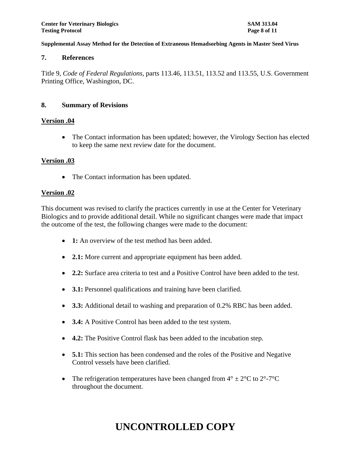### **7. References**

Title 9, *Code of Federal Regulations,* parts 113.46, 113.51, 113.52 and 113.55, U.S. Government Printing Office, Washington, DC.

#### **8. Summary of Revisions**

#### **Version .04**

• The Contact information has been updated; however, the Virology Section has elected to keep the same next review date for the document.

### **Version .03**

• The Contact information has been updated.

#### **Version .02**

This document was revised to clarify the practices currently in use at the Center for Veterinary Biologics and to provide additional detail. While no significant changes were made that impact the outcome of the test, the following changes were made to the document:

- **1:** An overview of the test method has been added.
- **2.1:** More current and appropriate equipment has been added.
- **2.2:** Surface area criteria to test and a Positive Control have been added to the test.
- **3.1:** Personnel qualifications and training have been clarified.
- **3.3:** Additional detail to washing and preparation of 0.2% RBC has been added.
- **3.4:** A Positive Control has been added to the test system.
- **4.2:** The Positive Control flask has been added to the incubation step.
- **5.1:** This section has been condensed and the roles of the Positive and Negative Control vessels have been clarified.
- The refrigeration temperatures have been changed from  $4^{\circ} \pm 2^{\circ}$ C to  $2^{\circ}$ -7<sup>o</sup>C throughout the document.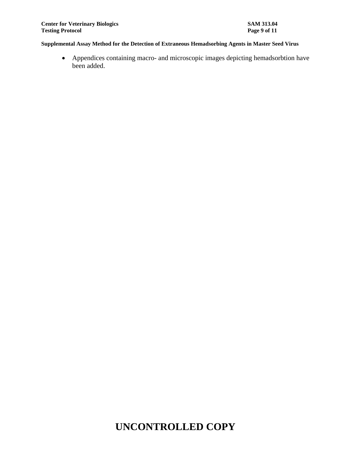Appendices containing macro- and microscopic images depicting hemadsorbtion have been added.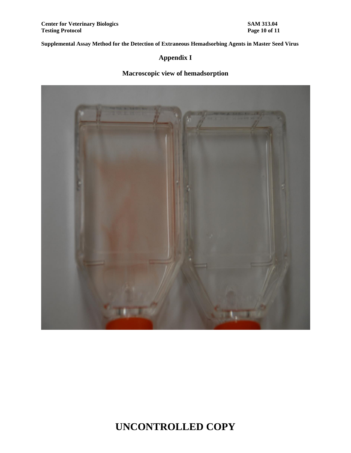## **Appendix I**

## **Macroscopic view of hemadsorption**